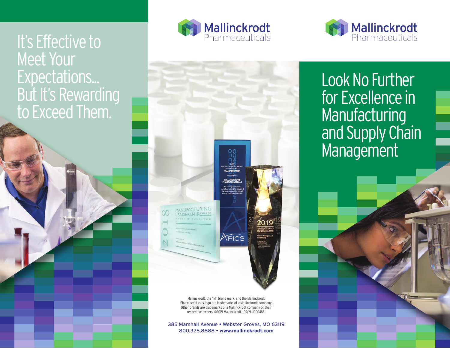## It's Effective to **Meet Your** Expectations... But It's Rewarding to Exceed Them.







Mallinckrodt, the "M" brand mark, and the Mallinckrodt Pharmaceuticals logo are trademarks of a Mallinckrodt company. Other brands are trademarks of a Mallinckrodt company or their respective owners. ©2019 Mallinckrodt. 09/19 10004881

385 Marshall Avenue • Webster Groves, MO 63119 800.325.8888 • **www.mallinckrodt.com**

Look No Further for Excellence in **Manufacturing** and Supply Chain **Management**